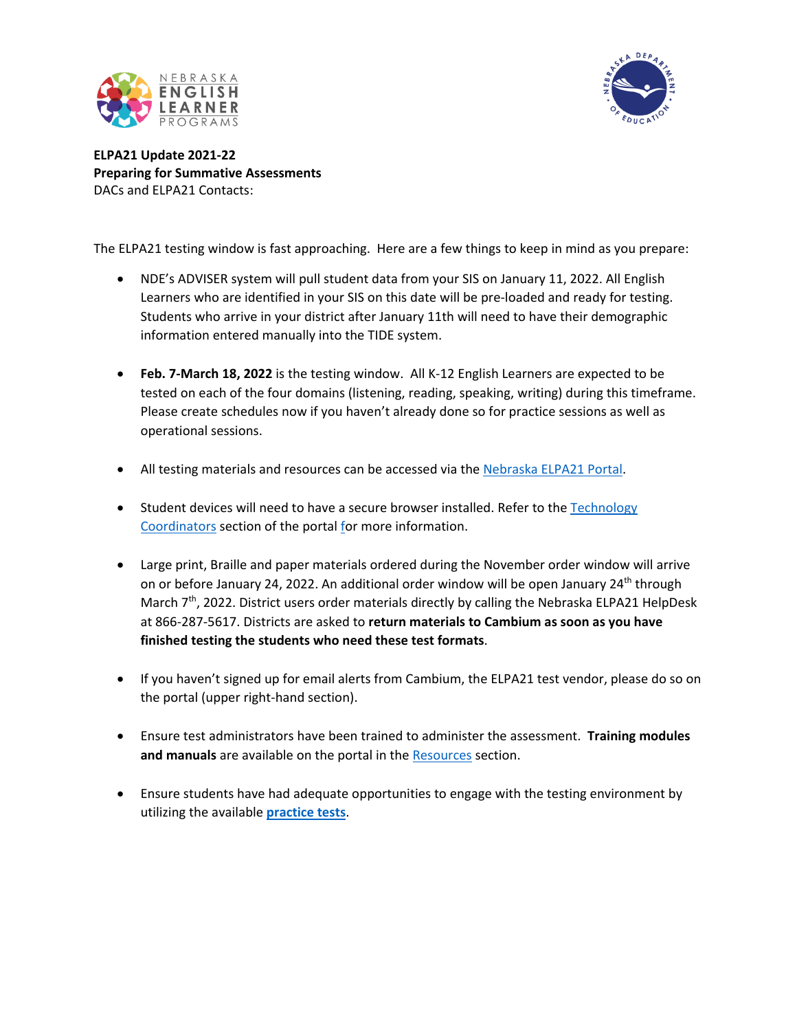



**ELPA21 Update 2021-22 Preparing for Summative Assessments** DACs and ELPA21 Contacts:

The ELPA21 testing window is fast approaching. Here are a few things to keep in mind as you prepare:

- NDE's ADVISER system will pull student data from your SIS on January 11, 2022. All English Learners who are identified in your SIS on this date will be pre-loaded and ready for testing. Students who arrive in your district after January 11th will need to have their demographic information entered manually into the TIDE system.
- **Feb. 7-March 18, 2022** is the testing window. All K-12 English Learners are expected to be tested on each of the four domains (listening, reading, speaking, writing) during this timeframe. Please create schedules now if you haven't already done so for practice sessions as well as operational sessions.
- All testing materials and resources can be accessed via the [Nebraska](https://ne.portal.cambiumast.com/) ELPA21 Portal.
- Student devices will need to have a secure browser installed. Refer to the Technology [Coordinators](https://ne.portal.cambiumast.com/coordinators.html) section of the portal for more information.
- Large print, Braille and paper materials ordered during the November order window will arrive on or before January 24, 2022. An additional order window will be open January 24th through March  $7<sup>th</sup>$ , 2022. District users order materials directly by calling the Nebraska ELPA21 HelpDesk at 866-287-5617. Districts are asked to **return materials to Cambium as soon as you have finished testing the students who need these test formats**.
- If you haven't signed up for email alerts from Cambium, the ELPA21 test vendor, please do so on the portal (upper right-hand section).
- Ensure test administrators have been trained to administer the assessment. **Training modules and manuals** are available on the portal in the [Resources](https://ne.portal.cambiumast.com/resources) section.
- Ensure students have had adequate opportunities to engage with the testing environment by utilizing the available **[practice tests](https://ne.portal.cambiumast.com/students.html)**.